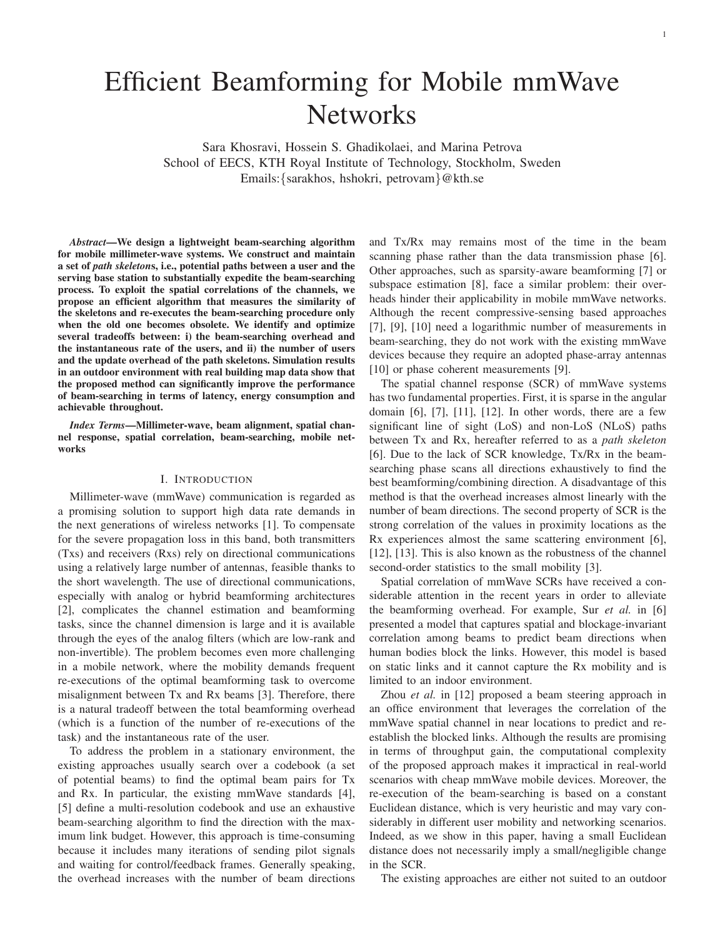# Efficient Beamforming for Mobile mmWave **Networks**

Sara Khosravi, Hossein S. Ghadikolaei, and Marina Petrova School of EECS, KTH Royal Institute of Technology, Stockholm, Sweden Emails:{sarakhos, hshokri, petrovam}@kth.se

*Abstract*—We design a lightweight beam-searching algorithm for mobile millimeter-wave systems. We construct and maintain a set of *path skeleton*s, i.e., potential paths between a user and the serving base station to substantially expedite the beam-searching process. To exploit the spatial correlations of the channels, we propose an efficient algorithm that measures the similarity of the skeletons and re-executes the beam-searching procedure only when the old one becomes obsolete. We identify and optimize several tradeoffs between: i) the beam-searching overhead and the instantaneous rate of the users, and ii) the number of users and the update overhead of the path skeletons. Simulation results in an outdoor environment with real building map data show that the proposed method can significantly improve the performance of beam-searching in terms of latency, energy consumption and achievable throughout.

*Index Terms*—Millimeter-wave, beam alignment, spatial channel response, spatial correlation, beam-searching, mobile networks

#### I. INTRODUCTION

Millimeter-wave (mmWave) communication is regarded as a promising solution to support high data rate demands in the next generations of wireless networks [1]. To compensate for the severe propagation loss in this band, both transmitters (Txs) and receivers (Rxs) rely on directional communications using a relatively large number of antennas, feasible thanks to the short wavelength. The use of directional communications, especially with analog or hybrid beamforming architectures [2], complicates the channel estimation and beamforming tasks, since the channel dimension is large and it is available through the eyes of the analog filters (which are low-rank and non-invertible). The problem becomes even more challenging in a mobile network, where the mobility demands frequent re-executions of the optimal beamforming task to overcome misalignment between Tx and Rx beams [3]. Therefore, there is a natural tradeoff between the total beamforming overhead (which is a function of the number of re-executions of the task) and the instantaneous rate of the user.

To address the problem in a stationary environment, the existing approaches usually search over a codebook (a set of potential beams) to find the optimal beam pairs for Tx and Rx. In particular, the existing mmWave standards [4], [5] define a multi-resolution codebook and use an exhaustive beam-searching algorithm to find the direction with the maximum link budget. However, this approach is time-consuming because it includes many iterations of sending pilot signals and waiting for control/feedback frames. Generally speaking, the overhead increases with the number of beam directions

and Tx/Rx may remains most of the time in the beam scanning phase rather than the data transmission phase [6]. Other approaches, such as sparsity-aware beamforming [7] or subspace estimation [8], face a similar problem: their overheads hinder their applicability in mobile mmWave networks. Although the recent compressive-sensing based approaches [7], [9], [10] need a logarithmic number of measurements in beam-searching, they do not work with the existing mmWave devices because they require an adopted phase-array antennas [10] or phase coherent measurements [9].

The spatial channel response (SCR) of mmWave systems has two fundamental properties. First, it is sparse in the angular domain [6], [7], [11], [12]. In other words, there are a few significant line of sight (LoS) and non-LoS (NLoS) paths between Tx and Rx, hereafter referred to as a *path skeleton* [6]. Due to the lack of SCR knowledge, Tx/Rx in the beamsearching phase scans all directions exhaustively to find the best beamforming/combining direction. A disadvantage of this method is that the overhead increases almost linearly with the number of beam directions. The second property of SCR is the strong correlation of the values in proximity locations as the Rx experiences almost the same scattering environment [6], [12], [13]. This is also known as the robustness of the channel second-order statistics to the small mobility [3].

Spatial correlation of mmWave SCRs have received a considerable attention in the recent years in order to alleviate the beamforming overhead. For example, Sur *et al.* in [6] presented a model that captures spatial and blockage-invariant correlation among beams to predict beam directions when human bodies block the links. However, this model is based on static links and it cannot capture the Rx mobility and is limited to an indoor environment.

Zhou *et al.* in [12] proposed a beam steering approach in an office environment that leverages the correlation of the mmWave spatial channel in near locations to predict and reestablish the blocked links. Although the results are promising in terms of throughput gain, the computational complexity of the proposed approach makes it impractical in real-world scenarios with cheap mmWave mobile devices. Moreover, the re-execution of the beam-searching is based on a constant Euclidean distance, which is very heuristic and may vary considerably in different user mobility and networking scenarios. Indeed, as we show in this paper, having a small Euclidean distance does not necessarily imply a small/negligible change in the SCR.

The existing approaches are either not suited to an outdoor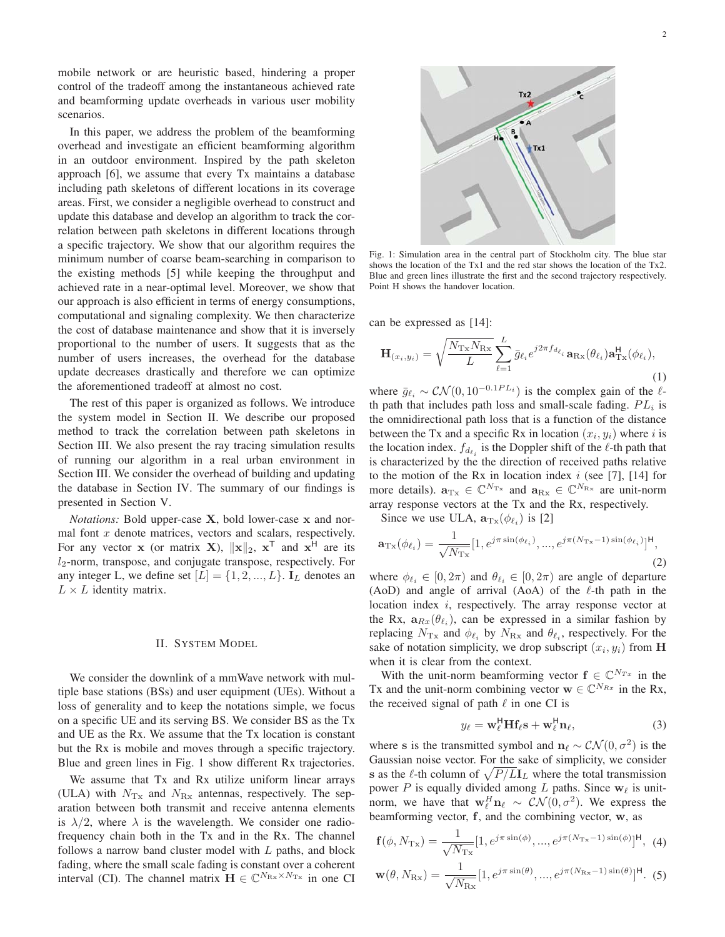mobile network or are heuristic based, hindering a proper control of the tradeoff among the instantaneous achieved rate and beamforming update overheads in various user mobility scenarios.

In this paper, we address the problem of the beamforming overhead and investigate an efficient beamforming algorithm in an outdoor environment. Inspired by the path skeleton approach [6], we assume that every Tx maintains a database including path skeletons of different locations in its coverage areas. First, we consider a negligible overhead to construct and update this database and develop an algorithm to track the correlation between path skeletons in different locations through a specific trajectory. We show that our algorithm requires the minimum number of coarse beam-searching in comparison to the existing methods [5] while keeping the throughput and achieved rate in a near-optimal level. Moreover, we show that our approach is also efficient in terms of energy consumptions, computational and signaling complexity. We then characterize the cost of database maintenance and show that it is inversely proportional to the number of users. It suggests that as the number of users increases, the overhead for the database update decreases drastically and therefore we can optimize the aforementioned tradeoff at almost no cost.

The rest of this paper is organized as follows. We introduce the system model in Section II. We describe our proposed method to track the correlation between path skeletons in Section III. We also present the ray tracing simulation results of running our algorithm in a real urban environment in Section III. We consider the overhead of building and updating the database in Section IV. The summary of our findings is presented in Section V.

*Notations:* Bold upper-case **X**, bold lower-case **x** and normal font  $x$  denote matrices, vectors and scalars, respectively. For any vector **x** (or matrix **X**),  $||\mathbf{x}||_2$ ,  $\mathbf{x}^T$  and  $\mathbf{x}^H$  are its  $l_2$ -norm, transpose, and conjugate transpose, respectively. For any integer L, we define set  $[L] = \{1, 2, ..., L\}$ . **I**<sub>L</sub> denotes an  $L \times L$  identity matrix.

#### II. SYSTEM MODEL

We consider the downlink of a mmWave network with multiple base stations (BSs) and user equipment (UEs). Without a loss of generality and to keep the notations simple, we focus on a specific UE and its serving BS. We consider BS as the Tx and UE as the Rx. We assume that the Tx location is constant but the Rx is mobile and moves through a specific trajectory. Blue and green lines in Fig. 1 show different Rx trajectories.

We assume that Tx and Rx utilize uniform linear arrays (ULA) with  $N_{\text{Tx}}$  and  $N_{\text{Rx}}$  antennas, respectively. The separation between both transmit and receive antenna elements is  $\lambda/2$ , where  $\lambda$  is the wavelength. We consider one radiofrequency chain both in the Tx and in the Rx. The channel follows a narrow band cluster model with  $L$  paths, and block fading, where the small scale fading is constant over a coherent interval (CI). The channel matrix  $\mathbf{H} \in \mathbb{C}^{N_{\text{Rx}} \times N_{\text{Tx}}}$  in one CI



Fig. 1: Simulation area in the central part of Stockholm city. The blue star shows the location of the Tx1 and the red star shows the location of the Tx2. Blue and green lines illustrate the first and the second trajectory respectively. Point H shows the handover location.

can be expressed as [14]:

$$
\mathbf{H}_{(x_i,y_i)} = \sqrt{\frac{N_{\text{Tx}}N_{\text{Rx}}}{L}} \sum_{\ell=1}^{L} \bar{g}_{\ell_i} e^{j2\pi f_{d_{\ell_i}}} \mathbf{a}_{\text{Rx}}(\theta_{\ell_i}) \mathbf{a}_{\text{Tx}}^{\text{H}}(\phi_{\ell_i}),
$$
\n(1)

where  $\bar{g}_{\ell_i} \sim \mathcal{CN}(0, 10^{-0.1PL_i})$  is the complex gain of the  $\ell$ -<br>th path that includes path loss and small-scale fading.  $PL_i$  is th path that includes path loss and small-scale fading.  $PL_i$  is the omnidirectional path loss that is a function of the distance between the Tx and a specific Rx in location  $(x_i, y_i)$  where i is the location index.  $f_{d_{\ell_i}}$  is the Doppler shift of the  $\ell$ -th path that is characterized by the the direction of received paths relative to the motion of the Rx in location index  $i$  (see [7], [14] for more details).  $\mathbf{a}_{Tx} \in \mathbb{C}^{N_{Tx}}$  and  $\mathbf{a}_{Rx} \in \mathbb{C}^{N_{Rx}}$  are unit-norm array response vectors at the Tx and the Rx, respectively.

Since we use ULA,  $\mathbf{a}_{\text{Tx}}(\phi_{\ell_i})$  is [2]

$$
\mathbf{a}_{\text{Tx}}(\phi_{\ell_i}) = \frac{1}{\sqrt{N_{\text{Tx}}}} [1, e^{j\pi \sin(\phi_{\ell_i})}, ..., e^{j\pi (N_{\text{Tx}} - 1) \sin(\phi_{\ell_i})}]^{\text{H}},
$$
\n(2)

where  $\phi_{\ell_i} \in [0, 2\pi)$  and  $\theta_{\ell_i} \in [0, 2\pi)$  are angle of departure (AoD) and angle of arrival (AoA) of the L<sub>th</sub> path in the (AoD) and angle of arrival (AoA) of the  $\ell$ -th path in the location index *i*, respectively. The array response vector at the Rx,  $\mathbf{a}_{Rx}(\theta_{\ell_i})$ , can be expressed in a similar fashion by replacing  $N_{rs}$  and  $\phi_{\ell_i}$  by  $N_{rs}$  and  $\theta_{\ell_i}$  respectively. For the replacing  $N_{\text{Tx}}$  and  $\phi_{\ell_i}$  by  $N_{\text{Rx}}$  and  $\theta_{\ell_i}$ , respectively. For the sake of notation simplicity, we drop subscript  $(x_i, y_i)$  from **H** when it is clear from the context.

With the unit-norm beamforming vector  $f \in \mathbb{C}^{N_{Tx}}$  in the Tx and the unit-norm combining vector  $\mathbf{w} \in \mathbb{C}^{N_{Rx}}$  in the Rx, the received signal of path  $\ell$  in one CI is

$$
y_{\ell} = \mathbf{w}_{\ell}^{\mathsf{H}} \mathbf{H} \mathbf{f}_{\ell} \mathbf{s} + \mathbf{w}_{\ell}^{\mathsf{H}} \mathbf{n}_{\ell},
$$
(3)

where **s** is the transmitted symbol and  $\mathbf{n}_{\ell} \sim \mathcal{CN}(0, \sigma^2)$  is the Gaussian poise vector. For the sake of simplicity, we consider Gaussian noise vector. For the sake of simplicity, we consider **s** as the  $\ell$ -th column of  $\sqrt{P/LI_L}$  where the total transmission power P is equally divided among L paths. Since  $w_{\ell}$  is unitnorm, we have that  $\mathbf{w}_\ell^H \mathbf{n}_\ell \sim \mathcal{CN}(0, \sigma^2)$ . We express the heamforming vector f, and the combining vector  $\mathbf{w}_\ell$  as beamforming vector, **f**, and the combining vector, **w**, as

$$
\mathbf{f}(\phi, N_{\text{Tx}}) = \frac{1}{\sqrt{N_{\text{Tx}}}} [1, e^{j\pi \sin(\phi)}, ..., e^{j\pi (N_{\text{Tx}} - 1) \sin(\phi)}]^{\text{H}}, \tag{4}
$$

$$
\mathbf{w}(\theta, N_{\text{Rx}}) = \frac{1}{\sqrt{N_{\text{Rx}}}} [1, e^{j\pi \sin(\theta)}, \dots, e^{j\pi(N_{\text{Rx}} - 1)\sin(\theta)}]^{\text{H}}.
$$
 (5)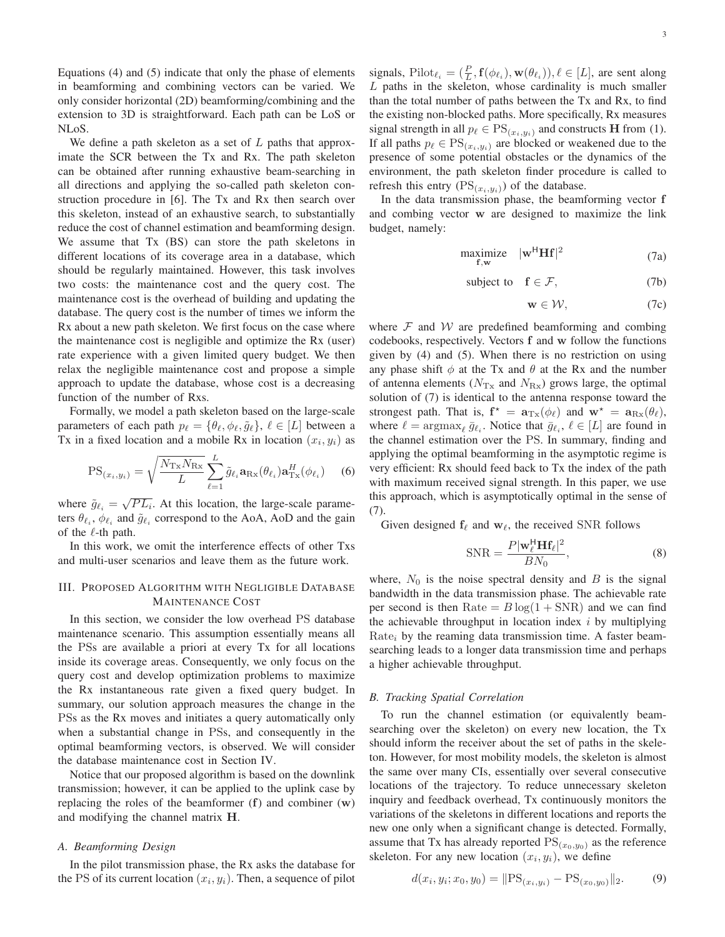Equations (4) and (5) indicate that only the phase of elements in beamforming and combining vectors can be varied. We only consider horizontal (2D) beamforming/combining and the extension to 3D is straightforward. Each path can be LoS or NLoS.

We define a path skeleton as a set of  $L$  paths that approximate the SCR between the Tx and Rx. The path skeleton can be obtained after running exhaustive beam-searching in all directions and applying the so-called path skeleton construction procedure in [6]. The Tx and Rx then search over this skeleton, instead of an exhaustive search, to substantially reduce the cost of channel estimation and beamforming design. We assume that Tx (BS) can store the path skeletons in different locations of its coverage area in a database, which should be regularly maintained. However, this task involves two costs: the maintenance cost and the query cost. The maintenance cost is the overhead of building and updating the database. The query cost is the number of times we inform the Rx about a new path skeleton. We first focus on the case where the maintenance cost is negligible and optimize the Rx (user) rate experience with a given limited query budget. We then relax the negligible maintenance cost and propose a simple approach to update the database, whose cost is a decreasing function of the number of Rxs.

Formally, we model a path skeleton based on the large-scale parameters of each path  $p_{\ell} = {\theta_{\ell}, \phi_{\ell}, \tilde{g}_{\ell}}$ ,  $\ell \in [L]$  between a<br>Ty in a fixed location and a mobile Ry in location  $(x, y)$  as Tx in a fixed location and a mobile Rx in location  $(x_i, y_i)$  as

$$
PS_{(x_i,y_i)} = \sqrt{\frac{N_{\text{Tx}} N_{\text{Rx}}}{L}} \sum_{\ell=1}^{L} \tilde{g}_{\ell_i} \mathbf{a}_{\text{Rx}}(\theta_{\ell_i}) \mathbf{a}_{\text{Tx}}^H(\phi_{\ell_i}) \quad (6)
$$

where  $\tilde{g}_{\ell_i} = \sqrt{PL_i}$ . At this location, the large-scale parame-<br>ters  $\theta_{\ell}$ ,  $\phi_{\ell}$  and  $\tilde{g}_{\ell}$  correspond to the AoA, AoD and the gain ters  $\theta_{\ell_i}$ ,  $\phi_{\ell_i}$  and  $\tilde{g}_{\ell_i}$  correspond to the AoA, AoD and the gain of the L<sub>th</sub> path of the  $\ell$ -th path.

In this work, we omit the interference effects of other Txs and multi-user scenarios and leave them as the future work.

## III. PROPOSED ALGORITHM WITH NEGLIGIBLE DATABASE MAINTENANCE COST

In this section, we consider the low overhead PS database maintenance scenario. This assumption essentially means all the PSs are available a priori at every Tx for all locations inside its coverage areas. Consequently, we only focus on the query cost and develop optimization problems to maximize the Rx instantaneous rate given a fixed query budget. In summary, our solution approach measures the change in the PSs as the Rx moves and initiates a query automatically only when a substantial change in PSs, and consequently in the optimal beamforming vectors, is observed. We will consider the database maintenance cost in Section IV.

Notice that our proposed algorithm is based on the downlink transmission; however, it can be applied to the uplink case by replacing the roles of the beamformer (**f**) and combiner (**w**) and modifying the channel matrix **H**.

## *A. Beamforming Design*

In the pilot transmission phase, the Rx asks the database for the PS of its current location  $(x_i, y_i)$ . Then, a sequence of pilot

signals, Pilot<sub> $\ell_i = (\frac{P}{L}, \mathbf{f}(\phi_{\ell_i}), \mathbf{w}(\theta_{\ell_i}))$ ,  $\ell \in [L]$ , are sent along  $L$ , paths in the skeleton, whose cardinality is much smaller</sub> L paths in the skeleton, whose cardinality is much smaller than the total number of paths between the Tx and Rx, to find the existing non-blocked paths. More specifically, Rx measures signal strength in all  $p_{\ell} \in \text{PS}_{(x_i, y_i)}$  and constructs **H** from (1).<br>If all paths  $p_{\ell} \in \text{PS}_{(x_i, y_i)}$  are blocked or weakened due to the If all paths  $p_{\ell} \in PS_{(x_i,y_i)}$  are blocked or weakened due to the presence of some potential obstacles or the dynamics of the presence of some potential obstacles or the dynamics of the environment, the path skeleton finder procedure is called to refresh this entry  $(PS_{(x_i,y_i)})$  of the database.

In the data transmission phase, the beamforming vector **f** and combing vector **w** are designed to maximize the link budget, namely:

$$
\begin{array}{ll}\text{maximize} & |\mathbf{w}^H \mathbf{H} \mathbf{f}|^2\\ \text{f,w} & \end{array} \tag{7a}
$$

subject to 
$$
\mathbf{f} \in \mathcal{F}
$$
, (7b)

$$
\mathbf{w} \in \mathcal{W},\tag{7c}
$$

where  $F$  and  $W$  are predefined beamforming and combing codebooks, respectively. Vectors **f** and **w** follow the functions given by (4) and (5). When there is no restriction on using any phase shift  $\phi$  at the Tx and  $\theta$  at the Rx and the number of antenna elements ( $N_{\text{Tx}}$  and  $N_{\text{Rx}}$ ) grows large, the optimal solution of (7) is identical to the antenna response toward the strongest path. That is,  $\mathbf{f}^* = \mathbf{a}_{\text{Tx}}(\phi_\ell)$  and  $\mathbf{w}^* = \mathbf{a}_{\text{Rx}}(\theta_\ell)$ ,<br>where  $\ell = \text{argmax}_{\overline{\theta}_\ell} \overline{\phi}_\ell$ . Notice that  $\overline{\phi}_\ell$ ,  $\ell \in [L]$  are found in where  $\ell = \arg \max_{\ell} \bar{g}_{\ell_i}$ . Notice that  $\bar{g}_{\ell_i}$ ,  $\ell \in [L]$  are found in the channel estimation over the PS. In summary, finding and the channel estimation over the PS. In summary, finding and applying the optimal beamforming in the asymptotic regime is very efficient: Rx should feed back to Tx the index of the path with maximum received signal strength. In this paper, we use this approach, which is asymptotically optimal in the sense of (7).

Given designed  $f_{\ell}$  and  $w_{\ell}$ , the received SNR follows

$$
SNR = \frac{P|\mathbf{w}_{\ell}^{\mathsf{H}}\mathbf{H}f_{\ell}|^2}{BN_0},\tag{8}
$$

where,  $N_0$  is the noise spectral density and  $B$  is the signal bandwidth in the data transmission phase. The achievable rate per second is then Rate  $= B \log(1 + SNR)$  and we can find the achievable throughput in location index  $i$  by multiplying  $Rate<sub>i</sub>$  by the reaming data transmission time. A faster beamsearching leads to a longer data transmission time and perhaps a higher achievable throughput.

## *B. Tracking Spatial Correlation*

To run the channel estimation (or equivalently beamsearching over the skeleton) on every new location, the Tx should inform the receiver about the set of paths in the skeleton. However, for most mobility models, the skeleton is almost the same over many CIs, essentially over several consecutive locations of the trajectory. To reduce unnecessary skeleton inquiry and feedback overhead, Tx continuously monitors the variations of the skeletons in different locations and reports the new one only when a significant change is detected. Formally, assume that Tx has already reported  $PS_{(x_0,y_0)}$  as the reference skeleton. For any new location  $(x_i, y_i)$ , we define

$$
d(x_i, y_i; x_0, y_0) = \|\text{PS}_{(x_i, y_i)} - \text{PS}_{(x_0, y_0)}\|_2.
$$
 (9)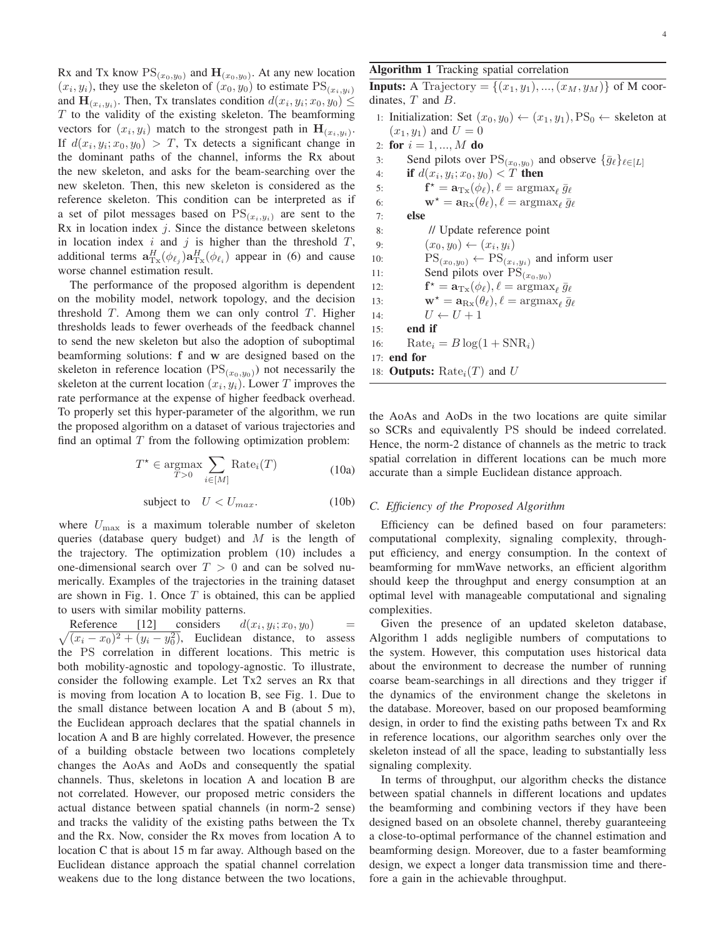Rx and Tx know  $PS_{(x_0,y_0)}$  and  $H_{(x_0,y_0)}$ . At any new location  $(x_i, y_i)$ , they use the skeleton of  $(x_0, y_0)$  to estimate  $PS_{(x_i, y_i)}$ and  $\mathbf{H}_{(x_i,y_i)}$ . Then, Tx translates condition  $d(x_i, y_i; x_0, y_0) \leq$  $T$  to the validity of the existing skeleton. The beamforming vectors for  $(x_i, y_i)$  match to the strongest path in  $\mathbf{H}_{(x_i, y_i)}$ . If  $d(x_i, y_i; x_0, y_0) > T$ , Tx detects a significant change in the dominant paths of the channel, informs the Rx about the new skeleton, and asks for the beam-searching over the new skeleton. Then, this new skeleton is considered as the reference skeleton. This condition can be interpreted as if a set of pilot messages based on  $PS_{(x_i,y_i)}$  are sent to the  $Rx$  in location index  $j$ . Since the distance between skeletons in location index i and j is higher than the threshold  $T$ , additional terms  $\mathbf{a}_{\text{Tx}}^H(\phi_{\ell_i}) \mathbf{a}_{\text{Tx}}^H(\phi_{\ell_i})$  appear in (6) and cause worse channel estimation result.

The performance of the proposed algorithm is dependent on the mobility model, network topology, and the decision threshold  $T$ . Among them we can only control  $T$ . Higher thresholds leads to fewer overheads of the feedback channel to send the new skeleton but also the adoption of suboptimal beamforming solutions: **f** and **w** are designed based on the skeleton in reference location ( $PS_{(x_0,y_0)}$ ) not necessarily the skeleton at the current location  $(x_i, y_i)$ . Lower T improves the rate performance at the expense of higher feedback overhead. To properly set this hyper-parameter of the algorithm, we run the proposed algorithm on a dataset of various trajectories and find an optimal  $T$  from the following optimization problem:

$$
T^* \in \underset{T>0}{\text{argmax}} \sum_{i \in [M]} \text{Rate}_i(T) \tag{10a}
$$

$$
subject to \tU < U_{max}.
$$
\t(10b)

where  $U_{\text{max}}$  is a maximum tolerable number of skeleton queries (database query budget) and  $M$  is the length of the trajectory. The optimization problem (10) includes a one-dimensional search over  $T > 0$  and can be solved numerically. Examples of the trajectories in the training dataset are shown in Fig. 1. Once  $T$  is obtained, this can be applied to users with similar mobility patterns.

Reference [12] considers  $d(x_i, y_i; x_0, y_0)$  =<br> $\sqrt{(x_i - x_0)^2 + (y_i - y_0^2)}$ , Euclidean distance, to assess  $(x_i - x_0)^2 + (y_i - y_0^2)$ , Euclidean distance, to assess<br>B. P.S. correlation in different locations. This metric is the PS correlation in different locations. This metric is both mobility-agnostic and topology-agnostic. To illustrate, consider the following example. Let Tx2 serves an Rx that is moving from location A to location B, see Fig. 1. Due to the small distance between location A and B (about 5 m), the Euclidean approach declares that the spatial channels in location A and B are highly correlated. However, the presence of a building obstacle between two locations completely changes the AoAs and AoDs and consequently the spatial channels. Thus, skeletons in location A and location B are not correlated. However, our proposed metric considers the actual distance between spatial channels (in norm-2 sense) and tracks the validity of the existing paths between the Tx and the Rx. Now, consider the Rx moves from location A to location C that is about 15 m far away. Although based on the Euclidean distance approach the spatial channel correlation weakens due to the long distance between the two locations,

# Algorithm 1 Tracking spatial correlation

**Inputs:** A Trajectory =  $\{(x_1, y_1), ..., (x_M, y_M)\}\)$  of M coordinates,  $T$  and  $B$ .

- 1: Initialization: Set  $(x_0, y_0) \leftarrow (x_1, y_1), PS_0 \leftarrow$  skeleton at  $(x_1, y_1)$  and  $U = 0$
- 2: for  $i = 1, ..., M$  do<br>3: Send pilots over
- 3: Send pilots over  $PS_{(x_0,y_0)}$  and observe  $\{\bar{g}_\ell\}_{\ell \in [L]}$
- 4: **if**  $d(x_i, y_i; x_0, y_0) < T$  **then**<br>5: **f**<sup>\*</sup> =  $\mathbf{a}_{\text{Tx}}(\phi_\ell), \ell$  = argm. 5:  $\mathbf{f}^* = \mathbf{a}_{\text{Tx}}(\phi_\ell), \ell = \arg\!\max_\ell \bar{g}_\ell$ <br>6:  $\mathbf{w}^* = \mathbf{a}_{\text{Tx}}(\theta_\ell), \ell = \arg\!\max_\ell \bar{g}_\ell$ 6:  $\mathbf{w}^* = \mathbf{a}_{\text{Rx}}(\theta_\ell), \ell = \arg\max_\ell \bar{g}_\ell$ 7: else 8: // Update reference point 9:  $(x_0, y_0) \leftarrow (x_i, y_i)$ <br>10:  $PS_{(x_0, y_0)} \leftarrow PS_{(x)}$ 10:  $PS_{(x_0,y_0)} \leftarrow PS_{(x_i,y_i)}$  and inform user<br>11: Send pilots over  $PS_{(x_0,x_0)}$ 11: Send pilots over  $\widetilde{PS}_{(x_0,y_0)}$ <br>
12:  $\mathbf{f}^{\star} = \mathbf{a}_{\mathrm{Tx}}(\phi_{\ell}), \ell = \text{argmax}$ 12:  $\mathbf{f}^* = \mathbf{a}_{\mathrm{Tx}}(\phi_\ell), \ell = \operatorname*{argmax}_{\ell} \bar{g}_\ell$ <br>
13:  $\mathbf{w}^* = \mathbf{a}_{\mathrm{Tx}}(\theta_\ell), \ell = \operatorname*{argmax}_{\ell} \bar{g}_\ell$ 13:  $\mathbf{w}^* = \mathbf{a}_{\text{Rx}}(\theta_\ell), \ell = \arg\max_{\ell} \bar{g}_\ell$ 14:  $U \leftarrow U + 1$ <br>15: **end if** end if 16: Rate<sub>i</sub> =  $B \log(1 + \text{SNR}_i)$ 17: end for 18: **Outputs:** Rate<sub>i</sub> $(T)$  and U

the AoAs and AoDs in the two locations are quite similar so SCRs and equivalently PS should be indeed correlated. Hence, the norm-2 distance of channels as the metric to track spatial correlation in different locations can be much more accurate than a simple Euclidean distance approach.

### *C. Efficiency of the Proposed Algorithm*

Efficiency can be defined based on four parameters: computational complexity, signaling complexity, throughput efficiency, and energy consumption. In the context of beamforming for mmWave networks, an efficient algorithm should keep the throughput and energy consumption at an optimal level with manageable computational and signaling complexities.

Given the presence of an updated skeleton database, Algorithm 1 adds negligible numbers of computations to the system. However, this computation uses historical data about the environment to decrease the number of running coarse beam-searchings in all directions and they trigger if the dynamics of the environment change the skeletons in the database. Moreover, based on our proposed beamforming design, in order to find the existing paths between Tx and Rx in reference locations, our algorithm searches only over the skeleton instead of all the space, leading to substantially less signaling complexity.

In terms of throughput, our algorithm checks the distance between spatial channels in different locations and updates the beamforming and combining vectors if they have been designed based on an obsolete channel, thereby guaranteeing a close-to-optimal performance of the channel estimation and beamforming design. Moreover, due to a faster beamforming design, we expect a longer data transmission time and therefore a gain in the achievable throughput.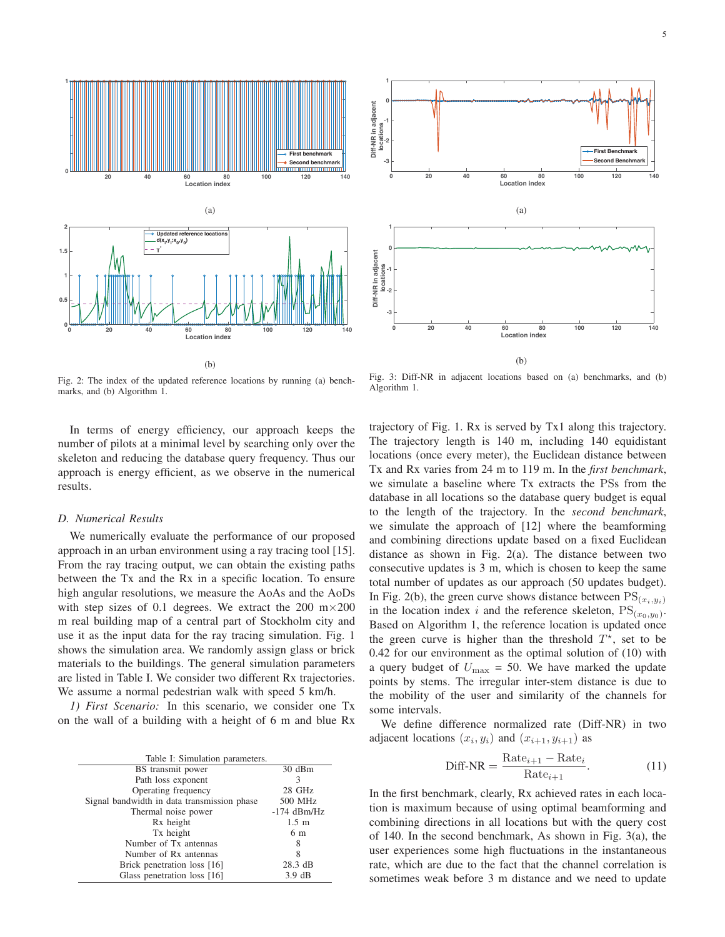

(b)

Fig. 2: The index of the updated reference locations by running (a) benchmarks, and (b) Algorithm 1.

In terms of energy efficiency, our approach keeps the number of pilots at a minimal level by searching only over the skeleton and reducing the database query frequency. Thus our approach is energy efficient, as we observe in the numerical results.

### *D. Numerical Results*

We numerically evaluate the performance of our proposed approach in an urban environment using a ray tracing tool [15]. From the ray tracing output, we can obtain the existing paths between the Tx and the Rx in a specific location. To ensure high angular resolutions, we measure the AoAs and the AoDs with step sizes of 0.1 degrees. We extract the 200  $m \times 200$ m real building map of a central part of Stockholm city and use it as the input data for the ray tracing simulation. Fig. 1 shows the simulation area. We randomly assign glass or brick materials to the buildings. The general simulation parameters are listed in Table I. We consider two different Rx trajectories. We assume a normal pedestrian walk with speed 5 km/h.

*1) First Scenario:* In this scenario, we consider one Tx on the wall of a building with a height of 6 m and blue Rx

| Table I: Simulation parameters.             |                  |
|---------------------------------------------|------------------|
| BS transmit power                           | 30 dBm           |
| Path loss exponent                          | 3                |
| Operating frequency                         | 28 GHz           |
| Signal bandwidth in data transmission phase | 500 MHz          |
| Thermal noise power                         | $-174$ dBm/Hz    |
| Rx height                                   | $1.5 \text{ m}$  |
| Tx height                                   | 6 m              |
| Number of Tx antennas                       | 8                |
| Number of Rx antennas                       |                  |
| Brick penetration loss [16]                 | 28.3 dB          |
| Glass penetration loss [16]                 | $3.9 \text{ dB}$ |



Fig. 3: Diff-NR in adjacent locations based on (a) benchmarks, and (b) Algorithm 1.

trajectory of Fig. 1. Rx is served by Tx1 along this trajectory. The trajectory length is 140 m, including 140 equidistant locations (once every meter), the Euclidean distance between Tx and Rx varies from 24 m to 119 m. In the *first benchmark*, we simulate a baseline where Tx extracts the PSs from the database in all locations so the database query budget is equal to the length of the trajectory. In the *second benchmark*, we simulate the approach of [12] where the beamforming and combining directions update based on a fixed Euclidean distance as shown in Fig. 2(a). The distance between two consecutive updates is 3 m, which is chosen to keep the same total number of updates as our approach (50 updates budget). In Fig. 2(b), the green curve shows distance between  $PS_{(x_i,y_i)}$ in the location index i and the reference skeleton,  $PS_{(x_0,y_0)}$ . Based on Algorithm 1, the reference location is updated once the green curve is higher than the threshold  $T^*$ , set to be 0.42 for our environment as the optimal solution of (10) with a query budget of  $U_{\text{max}} = 50$ . We have marked the update points by stems. The irregular inter-stem distance is due to the mobility of the user and similarity of the channels for some intervals.

We define difference normalized rate (Diff-NR) in two adjacent locations  $(x_i, y_i)$  and  $(x_{i+1}, y_{i+1})$  as

$$
\text{Diff-NR} = \frac{\text{Rate}_{i+1} - \text{Rate}_i}{\text{Rate}_{i+1}}.\tag{11}
$$

In the first benchmark, clearly, Rx achieved rates in each location is maximum because of using optimal beamforming and combining directions in all locations but with the query cost of 140. In the second benchmark, As shown in Fig. 3(a), the user experiences some high fluctuations in the instantaneous rate, which are due to the fact that the channel correlation is sometimes weak before 3 m distance and we need to update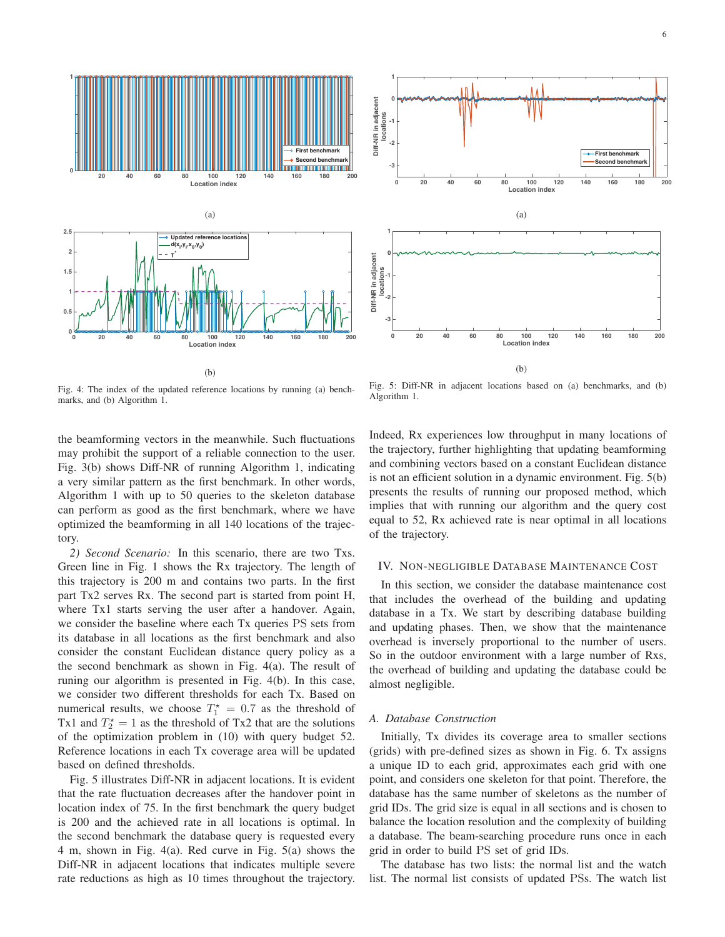

Fig. 4: The index of the updated reference locations by running (a) benchmarks, and (b) Algorithm 1.

the beamforming vectors in the meanwhile. Such fluctuations may prohibit the support of a reliable connection to the user. Fig. 3(b) shows Diff-NR of running Algorithm 1, indicating a very similar pattern as the first benchmark. In other words, Algorithm 1 with up to 50 queries to the skeleton database can perform as good as the first benchmark, where we have optimized the beamforming in all 140 locations of the trajectory.

*2) Second Scenario:* In this scenario, there are two Txs. Green line in Fig. 1 shows the Rx trajectory. The length of this trajectory is 200 m and contains two parts. In the first part Tx2 serves Rx. The second part is started from point H, where Tx1 starts serving the user after a handover. Again, we consider the baseline where each Tx queries PS sets from its database in all locations as the first benchmark and also consider the constant Euclidean distance query policy as a the second benchmark as shown in Fig. 4(a). The result of runing our algorithm is presented in Fig. 4(b). In this case, we consider two different thresholds for each Tx. Based on numerical results, we choose  $T_1^* = 0.7$  as the threshold of Tx2 that are the solutions Tx1 and  $T_2^* = 1$  as the threshold of Tx2 that are the solutions of the optimization problem in (10) with query budget 52 of the optimization problem in (10) with query budget 52. Reference locations in each Tx coverage area will be updated based on defined thresholds.

Fig. 5 illustrates Diff-NR in adjacent locations. It is evident that the rate fluctuation decreases after the handover point in location index of 75. In the first benchmark the query budget is 200 and the achieved rate in all locations is optimal. In the second benchmark the database query is requested every 4 m, shown in Fig. 4(a). Red curve in Fig. 5(a) shows the Diff-NR in adjacent locations that indicates multiple severe rate reductions as high as 10 times throughout the trajectory.



Fig. 5: Diff-NR in adjacent locations based on (a) benchmarks, and (b) Algorithm 1.

Indeed, Rx experiences low throughput in many locations of the trajectory, further highlighting that updating beamforming and combining vectors based on a constant Euclidean distance is not an efficient solution in a dynamic environment. Fig. 5(b) presents the results of running our proposed method, which implies that with running our algorithm and the query cost equal to 52, Rx achieved rate is near optimal in all locations of the trajectory.

## IV. NON-NEGLIGIBLE DATABASE MAINTENANCE COST

In this section, we consider the database maintenance cost that includes the overhead of the building and updating database in a Tx. We start by describing database building and updating phases. Then, we show that the maintenance overhead is inversely proportional to the number of users. So in the outdoor environment with a large number of Rxs, the overhead of building and updating the database could be almost negligible.

## *A. Database Construction*

Initially, Tx divides its coverage area to smaller sections (grids) with pre-defined sizes as shown in Fig. 6. Tx assigns a unique ID to each grid, approximates each grid with one point, and considers one skeleton for that point. Therefore, the database has the same number of skeletons as the number of grid IDs. The grid size is equal in all sections and is chosen to balance the location resolution and the complexity of building a database. The beam-searching procedure runs once in each grid in order to build PS set of grid IDs.

The database has two lists: the normal list and the watch list. The normal list consists of updated PSs. The watch list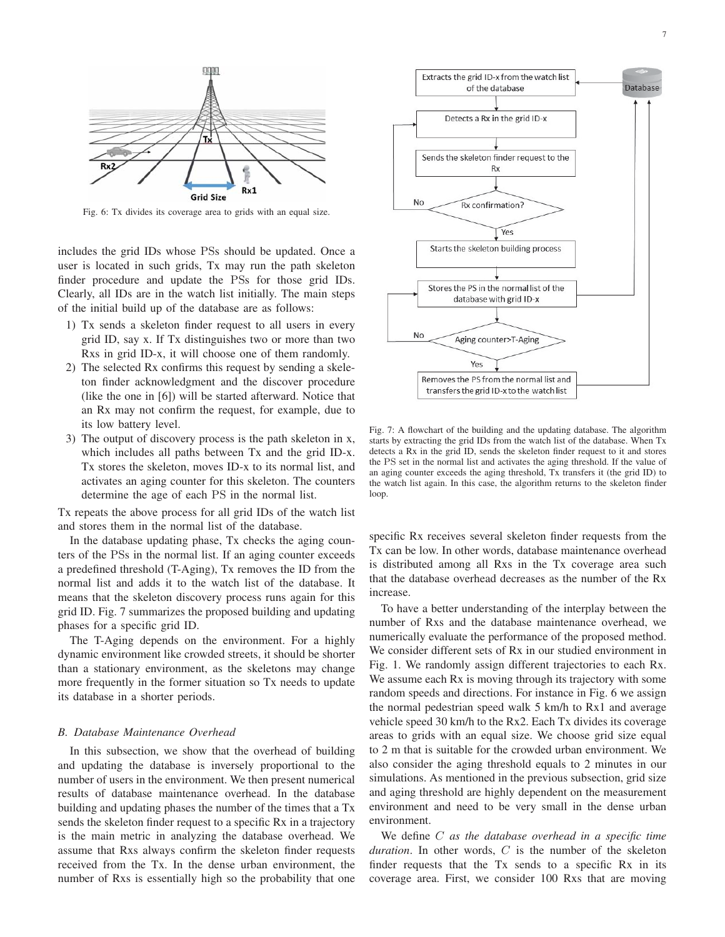

Fig. 6: Tx divides its coverage area to grids with an equal size.

includes the grid IDs whose PSs should be updated. Once a user is located in such grids, Tx may run the path skeleton finder procedure and update the PSs for those grid IDs. Clearly, all IDs are in the watch list initially. The main steps of the initial build up of the database are as follows:

- 1) Tx sends a skeleton finder request to all users in every grid ID, say x. If Tx distinguishes two or more than two Rxs in grid ID-x, it will choose one of them randomly.
- 2) The selected Rx confirms this request by sending a skeleton finder acknowledgment and the discover procedure (like the one in [6]) will be started afterward. Notice that an Rx may not confirm the request, for example, due to its low battery level.
- 3) The output of discovery process is the path skeleton in x, which includes all paths between Tx and the grid ID-x. Tx stores the skeleton, moves ID-x to its normal list, and activates an aging counter for this skeleton. The counters determine the age of each PS in the normal list.

Tx repeats the above process for all grid IDs of the watch list and stores them in the normal list of the database.

In the database updating phase, Tx checks the aging counters of the PSs in the normal list. If an aging counter exceeds a predefined threshold (T-Aging), Tx removes the ID from the normal list and adds it to the watch list of the database. It means that the skeleton discovery process runs again for this grid ID. Fig. 7 summarizes the proposed building and updating phases for a specific grid ID.

The T-Aging depends on the environment. For a highly dynamic environment like crowded streets, it should be shorter than a stationary environment, as the skeletons may change more frequently in the former situation so Tx needs to update its database in a shorter periods.

#### *B. Database Maintenance Overhead*

In this subsection, we show that the overhead of building and updating the database is inversely proportional to the number of users in the environment. We then present numerical results of database maintenance overhead. In the database building and updating phases the number of the times that a Tx sends the skeleton finder request to a specific Rx in a trajectory is the main metric in analyzing the database overhead. We assume that Rxs always confirm the skeleton finder requests received from the Tx. In the dense urban environment, the number of Rxs is essentially high so the probability that one



Fig. 7: A flowchart of the building and the updating database. The algorithm starts by extracting the grid IDs from the watch list of the database. When Tx detects a Rx in the grid ID, sends the skeleton finder request to it and stores the PS set in the normal list and activates the aging threshold. If the value of an aging counter exceeds the aging threshold, Tx transfers it (the grid ID) to the watch list again. In this case, the algorithm returns to the skeleton finder loop.

specific Rx receives several skeleton finder requests from the Tx can be low. In other words, database maintenance overhead is distributed among all Rxs in the Tx coverage area such that the database overhead decreases as the number of the Rx increase.

To have a better understanding of the interplay between the number of Rxs and the database maintenance overhead, we numerically evaluate the performance of the proposed method. We consider different sets of Rx in our studied environment in Fig. 1. We randomly assign different trajectories to each Rx. We assume each Rx is moving through its trajectory with some random speeds and directions. For instance in Fig. 6 we assign the normal pedestrian speed walk 5 km/h to Rx1 and average vehicle speed 30 km/h to the Rx2. Each Tx divides its coverage areas to grids with an equal size. We choose grid size equal to 2 m that is suitable for the crowded urban environment. We also consider the aging threshold equals to 2 minutes in our simulations. As mentioned in the previous subsection, grid size and aging threshold are highly dependent on the measurement environment and need to be very small in the dense urban environment.

We define C *as the database overhead in a specific time duration*. In other words, C is the number of the skeleton finder requests that the Tx sends to a specific Rx in its coverage area. First, we consider 100 Rxs that are moving